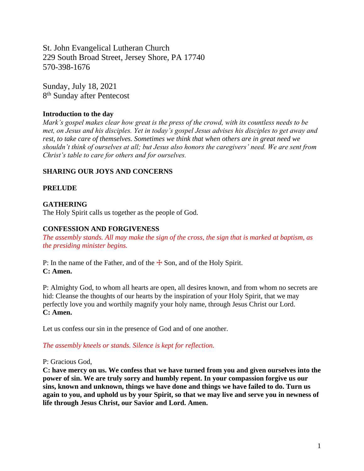St. John Evangelical Lutheran Church 229 South Broad Street, Jersey Shore, PA 17740 570-398-1676

Sunday, July 18, 2021 8<sup>th</sup> Sunday after Pentecost

# **Introduction to the day**

*Mark's gospel makes clear how great is the press of the crowd, with its countless needs to be met, on Jesus and his disciples. Yet in today's gospel Jesus advises his disciples to get away and rest, to take care of themselves. Sometimes we think that when others are in great need we shouldn't think of ourselves at all; but Jesus also honors the caregivers' need. We are sent from Christ's table to care for others and for ourselves.*

# **SHARING OUR JOYS AND CONCERNS**

# **PRELUDE**

# **GATHERING**

The Holy Spirit calls us together as the people of God.

### **CONFESSION AND FORGIVENESS**

*The assembly stands. All may make the sign of the cross, the sign that is marked at baptism, as the presiding minister begins.*

P: In the name of the Father, and of the  $\pm$  Son, and of the Holy Spirit. **C: Amen.**

P: Almighty God, to whom all hearts are open, all desires known, and from whom no secrets are hid: Cleanse the thoughts of our hearts by the inspiration of your Holy Spirit, that we may perfectly love you and worthily magnify your holy name, through Jesus Christ our Lord. **C: Amen.**

Let us confess our sin in the presence of God and of one another.

### *The assembly kneels or stands. Silence is kept for reflection.*

#### P: Gracious God,

**C: have mercy on us. We confess that we have turned from you and given ourselves into the power of sin. We are truly sorry and humbly repent. In your compassion forgive us our sins, known and unknown, things we have done and things we have failed to do. Turn us again to you, and uphold us by your Spirit, so that we may live and serve you in newness of life through Jesus Christ, our Savior and Lord. Amen.**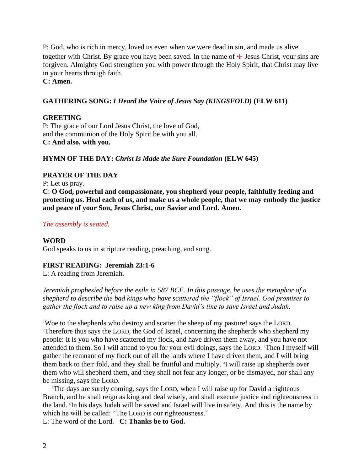P: God, who is rich in mercy, loved us even when we were dead in sin, and made us alive together with Christ. By grace you have been saved. In the name of  $\pm$  Jesus Christ, your sins are forgiven. Almighty God strengthen you with power through the Holy Spirit, that Christ may live in your hearts through faith.

# **C: Amen.**

# **GATHERING SONG:** *I Heard the Voice of Jesus Say (KINGSFOLD)* **(ELW 611)**

# **GREETING**

P: The grace of our Lord Jesus Christ, the love of God, and the communion of the Holy Spirit be with you all. **C: And also, with you.**

# **HYMN OF THE DAY:** *Christ Is Made the Sure Foundation* **(ELW 645)**

# **PRAYER OF THE DAY**

P: Let us pray.

**C**: **O God, powerful and compassionate, you shepherd your people, faithfully feeding and protecting us. Heal each of us, and make us a whole people, that we may embody the justice and peace of your Son, Jesus Christ, our Savior and Lord. Amen.**

### *The assembly is seated.*

### **WORD**

God speaks to us in scripture reading, preaching, and song.

### **FIRST READING: Jeremiah 23:1-6**

L: A reading from Jeremiah.

*Jeremiah prophesied before the exile in 587 BCE. In this passage, he uses the metaphor of a shepherd to describe the bad kings who have scattered the "flock" of Israel. God promises to gather the flock and to raise up a new king from David's line to save Israel and Judah.*

<sup>1</sup>Woe to the shepherds who destroy and scatter the sheep of my pasture! says the LORD. <sup>2</sup>Therefore thus says the LORD, the God of Israel, concerning the shepherds who shepherd my people: It is you who have scattered my flock, and have driven them away, and you have not attended to them. So I will attend to you for your evil doings, says the LORD. <sup>3</sup>Then I myself will gather the remnant of my flock out of all the lands where I have driven them, and I will bring them back to their fold, and they shall be fruitful and multiply. <sup>4</sup>I will raise up shepherds over them who will shepherd them, and they shall not fear any longer, or be dismayed, nor shall any be missing, says the LORD.

<sup>5</sup>The days are surely coming, says the LORD, when I will raise up for David a righteous Branch, and he shall reign as king and deal wisely, and shall execute justice and righteousness in the land. In his days Judah will be saved and Israel will live in safety. And this is the name by which he will be called: "The LORD is our righteousness."

L: The word of the Lord. **C: Thanks be to God.**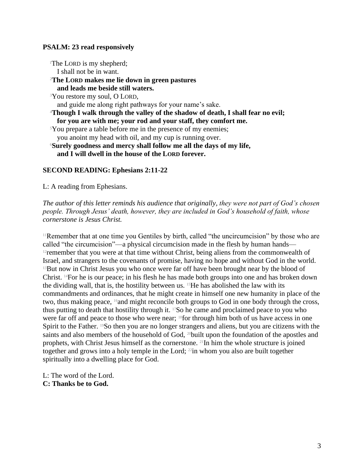# **PSALM: 23 read responsively**

<sup>1</sup>The LORD is my shepherd; I shall not be in want. <sup>2</sup>**The LORD makes me lie down in green pastures and leads me beside still waters.** <sup>3</sup>You restore my soul, O LORD, and guide me along right pathways for your name's sake. <sup>4</sup>**Though I walk through the valley of the shadow of death, I shall fear no evil; for you are with me; your rod and your staff, they comfort me.** <sup>5</sup>You prepare a table before me in the presence of my enemies; you anoint my head with oil, and my cup is running over. <sup>6</sup>**Surely goodness and mercy shall follow me all the days of my life, and I will dwell in the house of the LORD forever.**

# **SECOND READING: Ephesians 2:11-22**

L: A reading from Ephesians.

*The author of this letter reminds his audience that originally, they were not part of God's chosen people. Through Jesus' death, however, they are included in God's household of faith, whose cornerstone is Jesus Christ.*

<sup>11</sup>Remember that at one time you Gentiles by birth, called "the uncircumcision" by those who are called "the circumcision"—a physical circumcision made in the flesh by human hands— <sup>12</sup> remember that you were at that time without Christ, being aliens from the commonwealth of Israel, and strangers to the covenants of promise, having no hope and without God in the world. <sup>13</sup>But now in Christ Jesus you who once were far off have been brought near by the blood of Christ. 14For he is our peace; in his flesh he has made both groups into one and has broken down the dividing wall, that is, the hostility between us.  $15$ He has abolished the law with its commandments and ordinances, that he might create in himself one new humanity in place of the two, thus making peace, 16and might reconcile both groups to God in one body through the cross, thus putting to death that hostility through it. 17So he came and proclaimed peace to you who were far off and peace to those who were near; 18for through him both of us have access in one Spirit to the Father. <sup>19</sup>So then you are no longer strangers and aliens, but you are citizens with the saints and also members of the household of God, <sup>20</sup>built upon the foundation of the apostles and prophets, with Christ Jesus himself as the cornerstone. 21In him the whole structure is joined together and grows into a holy temple in the Lord;  $^{22}$ in whom you also are built together spiritually into a dwelling place for God.

L: The word of the Lord. **C: Thanks be to God.**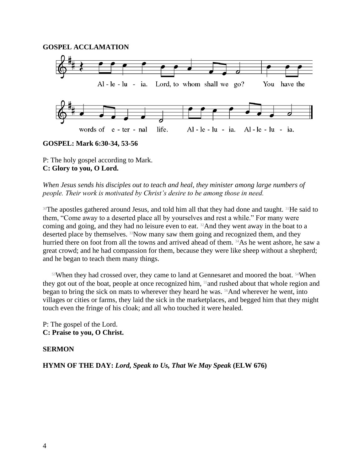### **GOSPEL ACCLAMATION**



**GOSPEL: Mark 6:30-34, 53-56**

P: The holy gospel according to Mark. **C: Glory to you, O Lord.**

*When Jesus sends his disciples out to teach and heal, they minister among large numbers of people. Their work is motivated by Christ's desire to be among those in need.*

<sup>30</sup>The apostles gathered around Jesus, and told him all that they had done and taught. <sup>31</sup>He said to them, "Come away to a deserted place all by yourselves and rest a while." For many were coming and going, and they had no leisure even to eat. 32And they went away in the boat to a deserted place by themselves. 33Now many saw them going and recognized them, and they hurried there on foot from all the towns and arrived ahead of them. <sup>34</sup>As he went ashore, he saw a great crowd; and he had compassion for them, because they were like sheep without a shepherd; and he began to teach them many things.

<sup>53</sup>When they had crossed over, they came to land at Gennesaret and moored the boat. <sup>54</sup>When they got out of the boat, people at once recognized him, <sup>55</sup> and rushed about that whole region and began to bring the sick on mats to wherever they heard he was. <sup>56</sup>And wherever he went, into villages or cities or farms, they laid the sick in the marketplaces, and begged him that they might touch even the fringe of his cloak; and all who touched it were healed.

P: The gospel of the Lord. **C: Praise to you, O Christ.**

#### **SERMON**

**HYMN OF THE DAY:** *Lord, Speak to Us, That We May Speak* **(ELW 676)**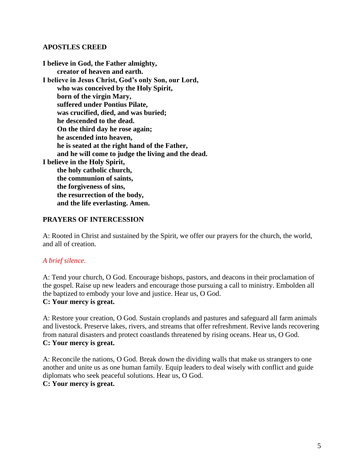## **APOSTLES CREED**

**I believe in God, the Father almighty, creator of heaven and earth. I believe in Jesus Christ, God's only Son, our Lord, who was conceived by the Holy Spirit, born of the virgin Mary, suffered under Pontius Pilate, was crucified, died, and was buried; he descended to the dead. On the third day he rose again; he ascended into heaven, he is seated at the right hand of the Father, and he will come to judge the living and the dead. I believe in the Holy Spirit, the holy catholic church, the communion of saints, the forgiveness of sins, the resurrection of the body, and the life everlasting. Amen.**

# **PRAYERS OF INTERCESSION**

A: Rooted in Christ and sustained by the Spirit, we offer our prayers for the church, the world, and all of creation.

### *A brief silence.*

A: Tend your church, O God. Encourage bishops, pastors, and deacons in their proclamation of the gospel. Raise up new leaders and encourage those pursuing a call to ministry. Embolden all the baptized to embody your love and justice. Hear us, O God.

# **C: Your mercy is great.**

A: Restore your creation, O God. Sustain croplands and pastures and safeguard all farm animals and livestock. Preserve lakes, rivers, and streams that offer refreshment. Revive lands recovering from natural disasters and protect coastlands threatened by rising oceans. Hear us, O God. **C: Your mercy is great.**

A: Reconcile the nations, O God. Break down the dividing walls that make us strangers to one another and unite us as one human family. Equip leaders to deal wisely with conflict and guide diplomats who seek peaceful solutions. Hear us, O God.

## **C: Your mercy is great.**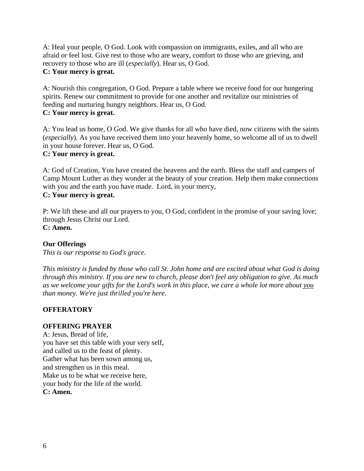A: Heal your people, O God. Look with compassion on immigrants, exiles, and all who are afraid or feel lost. Give rest to those who are weary, comfort to those who are grieving, and recovery to those who are ill (*especially*). Hear us, O God.

# **C: Your mercy is great.**

A: Nourish this congregation, O God. Prepare a table where we receive food for our hungering spirits. Renew our commitment to provide for one another and revitalize our ministries of feeding and nurturing hungry neighbors. Hear us, O God. **C: Your mercy is great.**

A: You lead us home, O God. We give thanks for all who have died, now citizens with the saints (*especially*). As you have received them into your heavenly home, so welcome all of us to dwell in your house forever. Hear us, O God.

# **C: Your mercy is great.**

A: God of Creation, You have created the heavens and the earth. Bless the staff and campers of Camp Mount Luther as they wonder at the beauty of your creation. Help them make connections with you and the earth you have made. Lord, in your mercy, **C: Your mercy is great.**

P: We lift these and all our prayers to you, O God, confident in the promise of your saving love; through Jesus Christ our Lord. **C: Amen.**

# **Our Offerings**

*This is our response to God's grace.*

*This ministry is funded by those who call St. John home and are excited about what God is doing through this ministry. If you are new to church, please don't feel any obligation to give. As much as we welcome your gifts for the Lord's work in this place, we care a whole lot more about you than money. We're just thrilled you're here.*

### **OFFERATORY**

### **OFFERING PRAYER**

A: Jesus, Bread of life, you have set this table with your very self, and called us to the feast of plenty. Gather what has been sown among us, and strengthen us in this meal. Make us to be what we receive here, your body for the life of the world. **C: Amen.**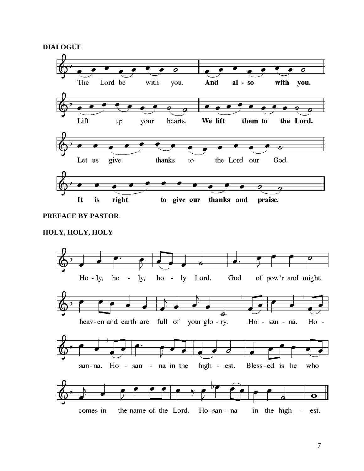**DIALOGUE**



# **PREFACE BY PASTOR**

# **HOLY, HOLY, HOLY**

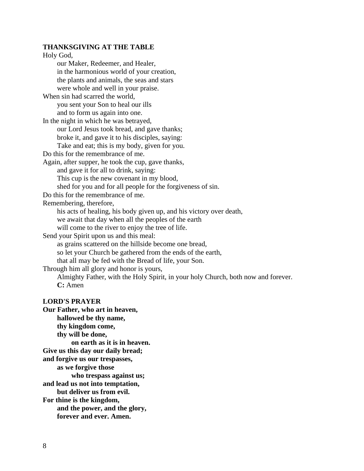#### **THANKSGIVING AT THE TABLE**

Holy God, our Maker, Redeemer, and Healer, in the harmonious world of your creation, the plants and animals, the seas and stars were whole and well in your praise. When sin had scarred the world, you sent your Son to heal our ills and to form us again into one. In the night in which he was betrayed, our Lord Jesus took bread, and gave thanks; broke it, and gave it to his disciples, saying: Take and eat; this is my body, given for you. Do this for the remembrance of me. Again, after supper, he took the cup, gave thanks, and gave it for all to drink, saying: This cup is the new covenant in my blood, shed for you and for all people for the forgiveness of sin. Do this for the remembrance of me. Remembering, therefore, his acts of healing, his body given up, and his victory over death, we await that day when all the peoples of the earth will come to the river to enjoy the tree of life. Send your Spirit upon us and this meal: as grains scattered on the hillside become one bread, so let your Church be gathered from the ends of the earth, that all may be fed with the Bread of life, your Son. Through him all glory and honor is yours, Almighty Father, with the Holy Spirit, in your holy Church, both now and forever. **C:** Amen **LORD'S PRAYER Our Father, who art in heaven,**

**hallowed be thy name, thy kingdom come, thy will be done, on earth as it is in heaven. Give us this day our daily bread; and forgive us our trespasses, as we forgive those who trespass against us; and lead us not into temptation, but deliver us from evil. For thine is the kingdom, and the power, and the glory, forever and ever. Amen.**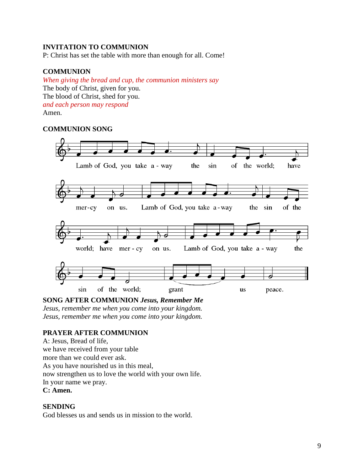# **INVITATION TO COMMUNION**

P: Christ has set the table with more than enough for all. Come!

# **COMMUNION**

*When giving the bread and cup, the communion ministers say* The body of Christ, given for you. The blood of Christ, shed for you. *and each person may respond* Amen.

# **COMMUNION SONG**



### **SONG AFTER COMMUNION** *Jesus, Remember Me*

*Jesus, remember me when you come into your kingdom.*

*Jesus, remember me when you come into your kingdom.*

# **PRAYER AFTER COMMUNION**

A: Jesus, Bread of life, we have received from your table more than we could ever ask. As you have nourished us in this meal, now strengthen us to love the world with your own life. In your name we pray. **C: Amen.**

# **SENDING**

God blesses us and sends us in mission to the world.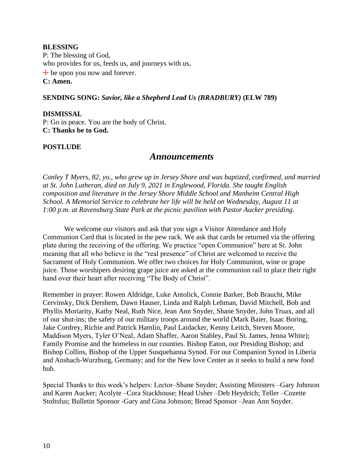### **BLESSING**

P: The blessing of God, who provides for us, feeds us, and journeys with us,  $+$  be upon you now and forever. **C: Amen.**

# **SENDING SONG:** *Savior, like a Shepherd Lead Us (BRADBURY)* **(ELW 789)**

**DISMISSAL** P: Go in peace. You are the body of Christ. **C: Thanks be to God.**

# **POSTLUDE**

# *Announcements*

*Conley T Myers, 82, yo., who grew up in Jersey Shore and was baptized, confirmed, and married at St. John Lutheran, died on July 9, 2021 in Englewood, Florida. She taught English composition and literature in the Jersey Shore Middle School and Manheim Central High School. A Memorial Service to celebrate her life will be held on Wednesday, August 11 at 1:00 p.m. at Ravensburg State Park at the picnic pavilion with Pastor Aucker presiding.*

We welcome our visitors and ask that you sign a Visitor Attendance and Holy Communion Card that is located in the pew rack. We ask that cards be returned via the offering plate during the receiving of the offering. We practice "open Communion" here at St. John meaning that all who believe in the "real presence" of Christ are welcomed to receive the Sacrament of Holy Communion. We offer two choices for Holy Communion, wine or grape juice. Those worshipers desiring grape juice are asked at the communion rail to place their right hand over their heart after receiving "The Body of Christ".

Remember in prayer: Rowen Aldridge, Luke Antolick, Connie Barker, Bob Braucht, Mike Cervinsky, Dick Dershem, Dawn Hauser, Linda and Ralph Lehman, David Mitchell, Bob and Phyllis Moriarity, Kathy Neal, Ruth Nice, Jean Ann Snyder, Shane Snyder, John Truax, and all of our shut-ins; the safety of our military troops around the world (Mark Baier, Isaac Boring, Jake Cordrey, Richie and Patrick Hamlin, Paul Laidacker, Kenny Leitch, Steven Moore, Maddison Myers, Tyler O'Neal, Adam Shaffer, Aaron Stabley, Paul St. James, Jenna White); Family Promise and the homeless in our counties. Bishop Eaton, our Presiding Bishop; and Bishop Collins, Bishop of the Upper Susquehanna Synod. For our Companion Synod in Liberia and Ansbach-Wurzburg, Germany; and for the New love Center as it seeks to build a new food hub.

Special Thanks to this week's helpers: Lector–Shane Snyder; Assisting Ministers –Gary Johnson and Karen Aucker; Acolyte –Cora Stackhouse; Head Usher –Deb Heydrich; Teller –Cozette Stoltsfus; Bulletin Sponsor -Gary and Gina Johnson; Bread Sponsor –Jean Ann Snyder.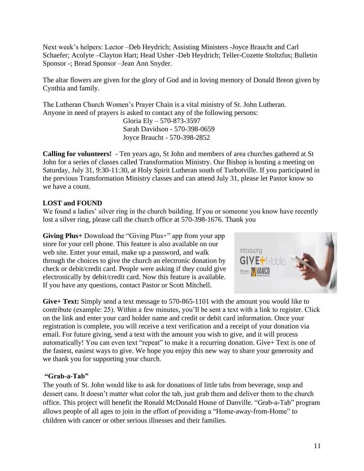Next week's helpers: Lector –Deb Heydrich; Assisting Ministers -Joyce Braucht and Carl Schaefer; Acolyte –Clayton Hart; Head Usher -Deb Heydrich; Teller-Cozette Stoltzfus; Bulletin Sponsor -; Bread Sponsor –Jean Ann Snyder.

The altar flowers are given for the glory of God and in loving memory of Donald Breon given by Cynthia and family.

The Lutheran Church Women's Prayer Chain is a vital ministry of St. John Lutheran. Anyone in need of prayers is asked to contact any of the following persons:

> Gloria Ely – 570-873-3597 Sarah Davidson - 570-398-0659 Joyce Braucht - 570-398-2852

**Calling for volunteers!** - Ten years ago, St John and members of area churches gathered at St John for a series of classes called Transformation Ministry. Our Bishop is hosting a meeting on Saturday, July 31, 9:30-11:30, at Holy Spirit Lutheran south of Turbotville. If you participated in the previous Transformation Ministry classes and can attend July 31, please let Pastor know so we have a count.

# **LOST and FOUND**

We found a ladies' silver ring in the church building. If you or someone you know have recently lost a silver ring, please call the church office at 570-398-1676. Thank you

**Giving Plus**+ Download the "Giving Plus+" app from your app store for your cell phone. This feature is also available on our web site. Enter your email, make up a password, and walk through the choices to give the church an electronic donation by check or debit/credit card. People were asking if they could give electronically by debit/credit card. Now this feature is available. If you have any questions, contact Pastor or Scott Mitchell.



**Give+ Text:** Simply send a text message to 570-865-1101 with the amount you would like to contribute (example: 25). Within a few minutes, you'll be sent a text with a link to register. Click on the link and enter your card holder name and credit or debit card information. Once your registration is complete, you will receive a text verification and a receipt of your donation via email. For future giving, send a text with the amount you wish to give, and it will process automatically! You can even text "repeat" to make it a recurring donation. Give+ Text is one of the fastest, easiest ways to give. We hope you enjoy this new way to share your generosity and we thank you for supporting your church.

# **"Grab-a-Tab"**

The youth of St. John would like to ask for donations of little tabs from beverage, soup and dessert cans. It doesn't matter what color the tab, just grab them and deliver them to the church office. This project will benefit the Ronald McDonald House of Danville. "Grab-a-Tab" program allows people of all ages to join in the effort of providing a "Home-away-from-Home" to children with cancer or other serious illnesses and their families.